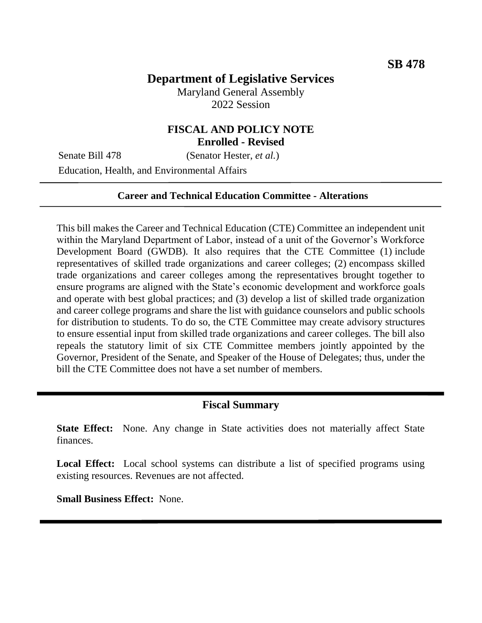# **Department of Legislative Services**

Maryland General Assembly 2022 Session

### **FISCAL AND POLICY NOTE Enrolled - Revised**

Senate Bill 478 (Senator Hester, *et al.*)

Education, Health, and Environmental Affairs

### **Career and Technical Education Committee - Alterations**

This bill makes the Career and Technical Education (CTE) Committee an independent unit within the Maryland Department of Labor, instead of a unit of the Governor's Workforce Development Board (GWDB). It also requires that the CTE Committee (1) include representatives of skilled trade organizations and career colleges; (2) encompass skilled trade organizations and career colleges among the representatives brought together to ensure programs are aligned with the State's economic development and workforce goals and operate with best global practices; and (3) develop a list of skilled trade organization and career college programs and share the list with guidance counselors and public schools for distribution to students. To do so, the CTE Committee may create advisory structures to ensure essential input from skilled trade organizations and career colleges. The bill also repeals the statutory limit of six CTE Committee members jointly appointed by the Governor, President of the Senate, and Speaker of the House of Delegates; thus, under the bill the CTE Committee does not have a set number of members.

#### **Fiscal Summary**

**State Effect:** None. Any change in State activities does not materially affect State finances.

Local Effect: Local school systems can distribute a list of specified programs using existing resources. Revenues are not affected.

**Small Business Effect:** None.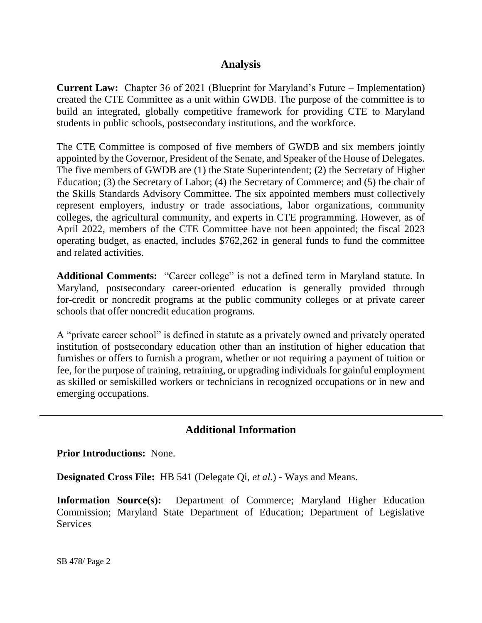## **Analysis**

**Current Law:** Chapter 36 of 2021 (Blueprint for Maryland's Future – Implementation) created the CTE Committee as a unit within GWDB. The purpose of the committee is to build an integrated, globally competitive framework for providing CTE to Maryland students in public schools, postsecondary institutions, and the workforce.

The CTE Committee is composed of five members of GWDB and six members jointly appointed by the Governor, President of the Senate, and Speaker of the House of Delegates. The five members of GWDB are (1) the State Superintendent; (2) the Secretary of Higher Education; (3) the Secretary of Labor; (4) the Secretary of Commerce; and (5) the chair of the Skills Standards Advisory Committee. The six appointed members must collectively represent employers, industry or trade associations, labor organizations, community colleges, the agricultural community, and experts in CTE programming. However, as of April 2022, members of the CTE Committee have not been appointed; the fiscal 2023 operating budget, as enacted, includes \$762,262 in general funds to fund the committee and related activities.

**Additional Comments:** "Career college" is not a defined term in Maryland statute. In Maryland, postsecondary career-oriented education is generally provided through for-credit or noncredit programs at the public community colleges or at private career schools that offer noncredit education programs.

A "private career school" is defined in statute as a privately owned and privately operated institution of postsecondary education other than an institution of higher education that furnishes or offers to furnish a program, whether or not requiring a payment of tuition or fee, for the purpose of training, retraining, or upgrading individuals for gainful employment as skilled or semiskilled workers or technicians in recognized occupations or in new and emerging occupations.

## **Additional Information**

**Prior Introductions:** None.

**Designated Cross File:** HB 541 (Delegate Qi, *et al.*) - Ways and Means.

**Information Source(s):** Department of Commerce; Maryland Higher Education Commission; Maryland State Department of Education; Department of Legislative **Services**